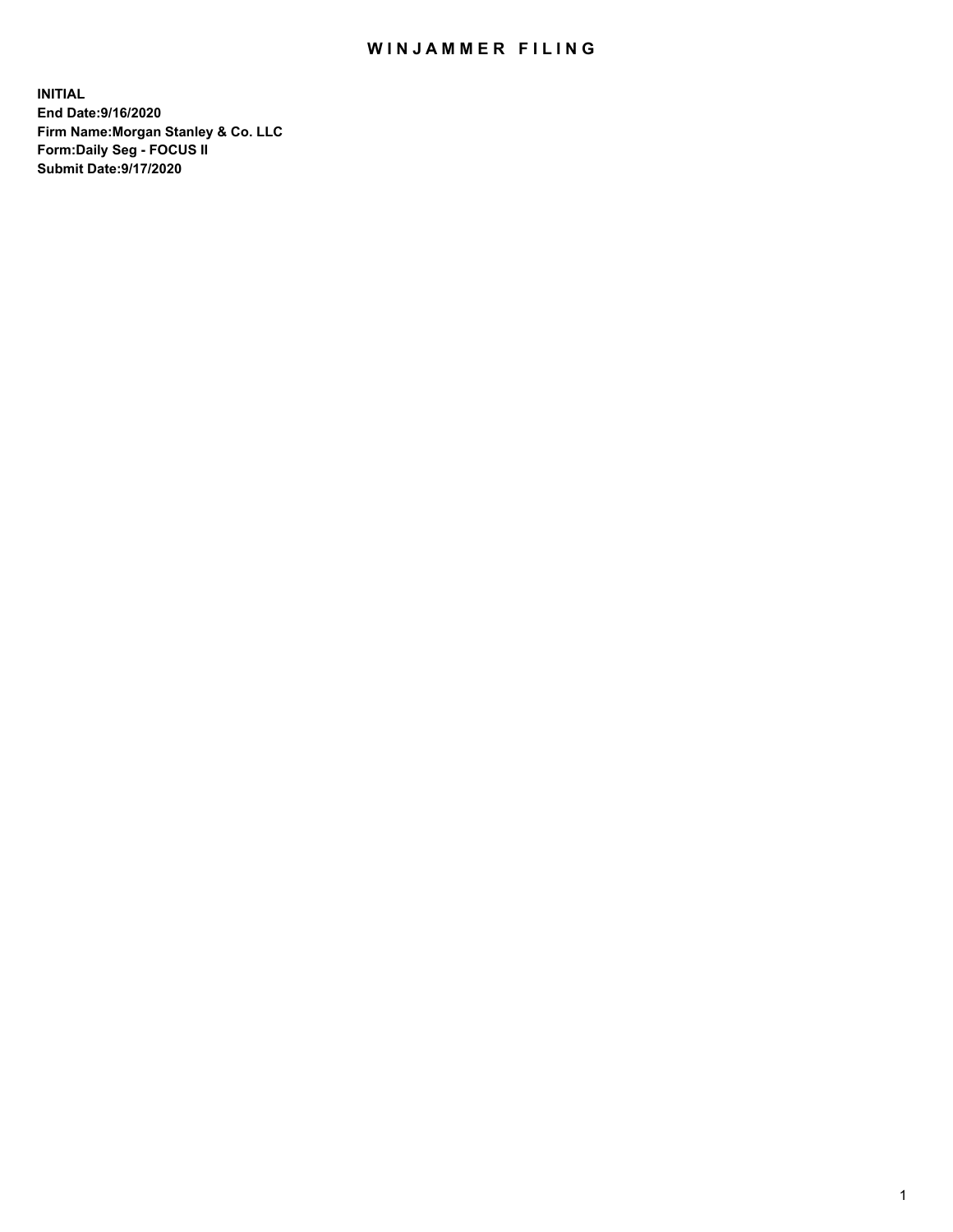## WIN JAMMER FILING

**INITIAL End Date:9/16/2020 Firm Name:Morgan Stanley & Co. LLC Form:Daily Seg - FOCUS II Submit Date:9/17/2020**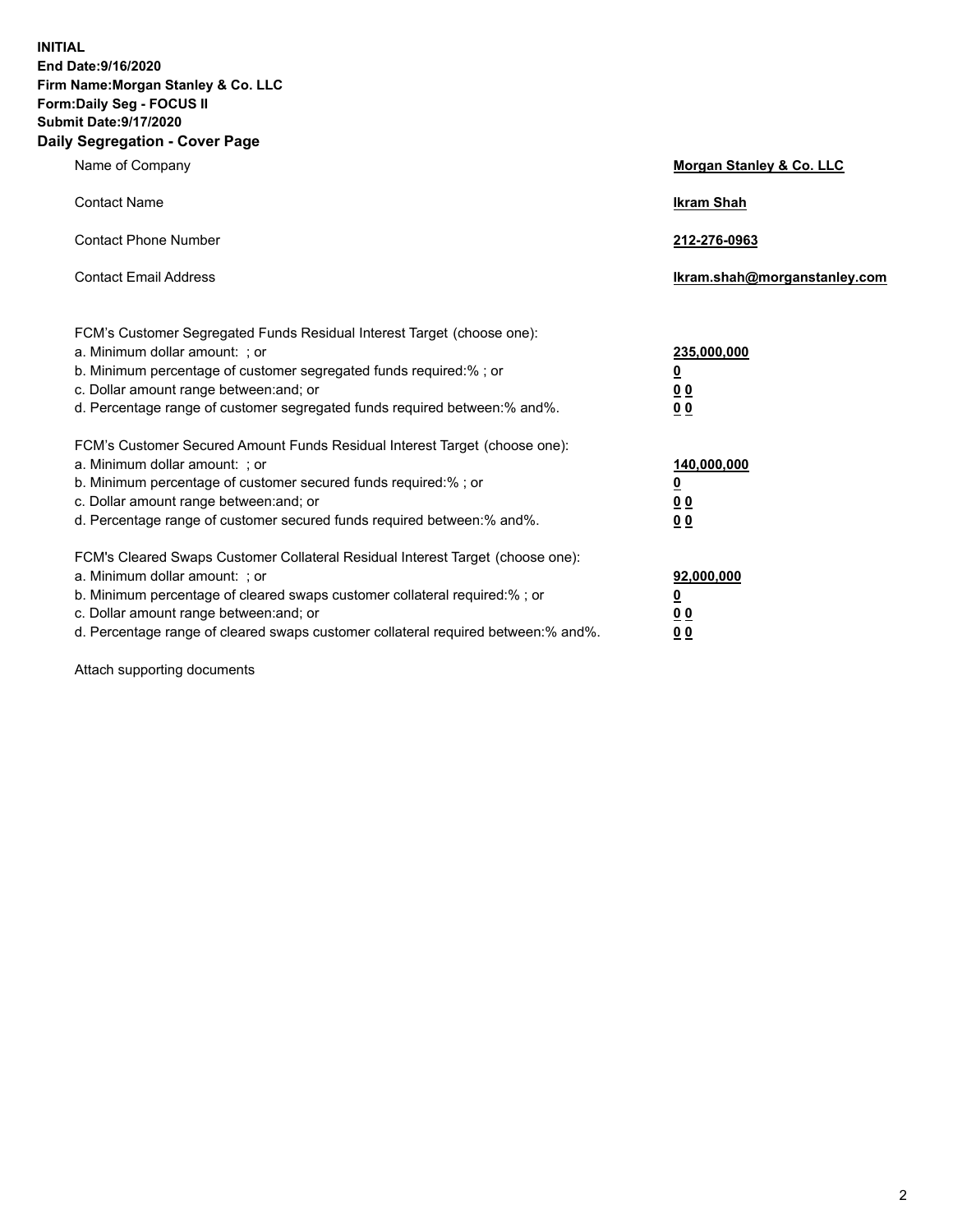**INITIAL End Date:9/16/2020 Firm Name:Morgan Stanley & Co. LLC Form:Daily Seg - FOCUS II Submit Date:9/17/2020 Daily Segregation - Cover Page**

| Name of Company                                                                                                                                                                                                                                                                                                                | Morgan Stanley & Co. LLC                                |
|--------------------------------------------------------------------------------------------------------------------------------------------------------------------------------------------------------------------------------------------------------------------------------------------------------------------------------|---------------------------------------------------------|
| <b>Contact Name</b>                                                                                                                                                                                                                                                                                                            | <b>Ikram Shah</b>                                       |
| <b>Contact Phone Number</b>                                                                                                                                                                                                                                                                                                    | 212-276-0963                                            |
| <b>Contact Email Address</b>                                                                                                                                                                                                                                                                                                   | Ikram.shah@morganstanley.com                            |
| FCM's Customer Segregated Funds Residual Interest Target (choose one):<br>a. Minimum dollar amount: ; or<br>b. Minimum percentage of customer segregated funds required:% ; or<br>c. Dollar amount range between: and; or<br>d. Percentage range of customer segregated funds required between: % and %.                       | 235,000,000<br><u>0</u><br><u>00</u><br><u>00</u>       |
| FCM's Customer Secured Amount Funds Residual Interest Target (choose one):<br>a. Minimum dollar amount: ; or<br>b. Minimum percentage of customer secured funds required:% ; or<br>c. Dollar amount range between: and; or<br>d. Percentage range of customer secured funds required between:% and%.                           | 140,000,000<br><u>0</u><br><u>0 0</u><br>0 <sub>0</sub> |
| FCM's Cleared Swaps Customer Collateral Residual Interest Target (choose one):<br>a. Minimum dollar amount: ; or<br>b. Minimum percentage of cleared swaps customer collateral required:% ; or<br>c. Dollar amount range between: and; or<br>d. Percentage range of cleared swaps customer collateral required between:% and%. | 92,000,000<br><u>0</u><br><u>00</u><br>00               |

Attach supporting documents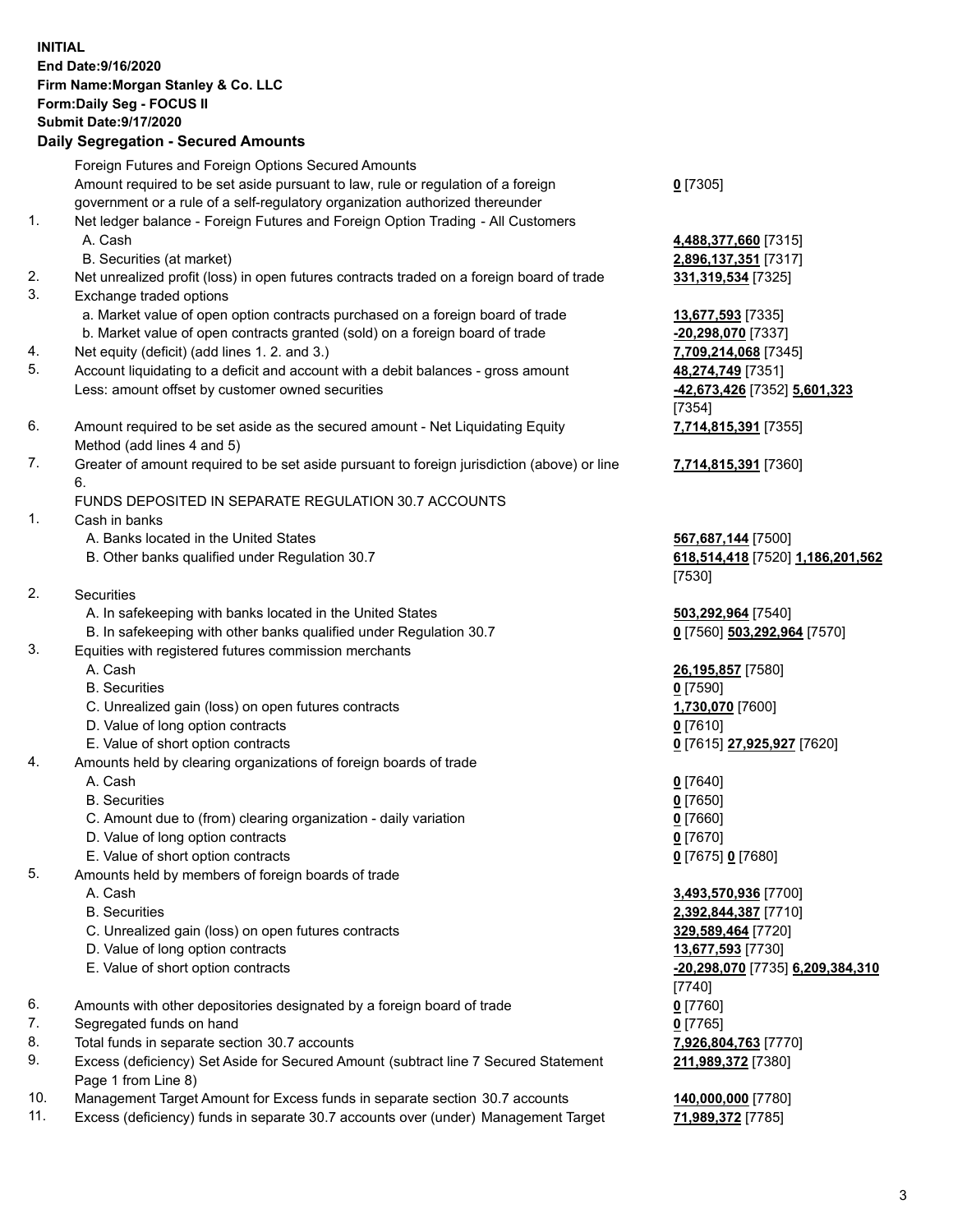| <b>INITIAL</b> | End Date: 9/16/2020<br>Firm Name: Morgan Stanley & Co. LLC<br>Form: Daily Seg - FOCUS II<br><b>Submit Date: 9/17/2020</b><br><b>Daily Segregation - Secured Amounts</b> |                                                   |
|----------------|-------------------------------------------------------------------------------------------------------------------------------------------------------------------------|---------------------------------------------------|
|                | Foreign Futures and Foreign Options Secured Amounts                                                                                                                     |                                                   |
|                | Amount required to be set aside pursuant to law, rule or regulation of a foreign                                                                                        | $0$ [7305]                                        |
|                | government or a rule of a self-regulatory organization authorized thereunder                                                                                            |                                                   |
| 1.             | Net ledger balance - Foreign Futures and Foreign Option Trading - All Customers                                                                                         |                                                   |
|                | A. Cash<br>B. Securities (at market)                                                                                                                                    | 4,488,377,660 [7315]                              |
| 2.             | Net unrealized profit (loss) in open futures contracts traded on a foreign board of trade                                                                               | 2,896,137,351 [7317]<br>331, 319, 534 [7325]      |
| 3.             | Exchange traded options                                                                                                                                                 |                                                   |
|                | a. Market value of open option contracts purchased on a foreign board of trade                                                                                          | 13,677,593 [7335]                                 |
|                | b. Market value of open contracts granted (sold) on a foreign board of trade                                                                                            | -20,298,070 [7337]                                |
| 4.             | Net equity (deficit) (add lines 1.2. and 3.)                                                                                                                            | 7,709,214,068 [7345]                              |
| 5.             | Account liquidating to a deficit and account with a debit balances - gross amount                                                                                       | 48,274,749 [7351]                                 |
|                | Less: amount offset by customer owned securities                                                                                                                        | -42,673,426 [7352] 5,601,323                      |
|                |                                                                                                                                                                         | [7354]                                            |
| 6.             | Amount required to be set aside as the secured amount - Net Liquidating Equity<br>Method (add lines 4 and 5)                                                            | 7,714,815,391 [7355]                              |
| 7.             | Greater of amount required to be set aside pursuant to foreign jurisdiction (above) or line                                                                             | 7,714,815,391 [7360]                              |
|                | 6.                                                                                                                                                                      |                                                   |
|                | FUNDS DEPOSITED IN SEPARATE REGULATION 30.7 ACCOUNTS                                                                                                                    |                                                   |
| 1.             | Cash in banks                                                                                                                                                           |                                                   |
|                | A. Banks located in the United States                                                                                                                                   | 567,687,144 [7500]                                |
|                | B. Other banks qualified under Regulation 30.7                                                                                                                          | 618,514,418 [7520] 1,186,201,562                  |
| 2.             |                                                                                                                                                                         | [7530]                                            |
|                | Securities<br>A. In safekeeping with banks located in the United States                                                                                                 |                                                   |
|                | B. In safekeeping with other banks qualified under Regulation 30.7                                                                                                      | 503,292,964 [7540]<br>0 [7560] 503,292,964 [7570] |
| 3.             | Equities with registered futures commission merchants                                                                                                                   |                                                   |
|                | A. Cash                                                                                                                                                                 | <u>26,195,857</u> [7580]                          |
|                | <b>B.</b> Securities                                                                                                                                                    | $0$ [7590]                                        |
|                | C. Unrealized gain (loss) on open futures contracts                                                                                                                     | 1,730,070 [7600]                                  |
|                | D. Value of long option contracts                                                                                                                                       | $0$ [7610]                                        |
|                | E. Value of short option contracts                                                                                                                                      | 0 [7615] 27,925,927 [7620]                        |
| 4.             | Amounts held by clearing organizations of foreign boards of trade<br>A. Cash                                                                                            |                                                   |
|                | <b>B.</b> Securities                                                                                                                                                    | $0$ [7640]<br>$0$ [7650]                          |
|                | C. Amount due to (from) clearing organization - daily variation                                                                                                         | $0$ [7660]                                        |
|                | D. Value of long option contracts                                                                                                                                       | $0$ [7670]                                        |
|                | E. Value of short option contracts                                                                                                                                      | 0 [7675] 0 [7680]                                 |
| 5.             | Amounts held by members of foreign boards of trade                                                                                                                      |                                                   |
|                | A. Cash                                                                                                                                                                 | 3,493,570,936 [7700]                              |
|                | <b>B.</b> Securities                                                                                                                                                    | 2,392,844,387 [7710]                              |
|                | C. Unrealized gain (loss) on open futures contracts                                                                                                                     | 329,589,464 [7720]                                |
|                | D. Value of long option contracts                                                                                                                                       | 13,677,593 [7730]                                 |
|                | E. Value of short option contracts                                                                                                                                      | -20,298,070 [7735] 6,209,384,310<br>[7740]        |
| 6.             | Amounts with other depositories designated by a foreign board of trade                                                                                                  | $0$ [7760]                                        |
| 7.             | Segregated funds on hand                                                                                                                                                | $0$ [7765]                                        |
| 8.             | Total funds in separate section 30.7 accounts                                                                                                                           | 7,926,804,763 [7770]                              |
| 9.             | Excess (deficiency) Set Aside for Secured Amount (subtract line 7 Secured Statement                                                                                     | 211,989,372 [7380]                                |
|                | Page 1 from Line 8)                                                                                                                                                     |                                                   |

- 10. Management Target Amount for Excess funds in separate section 30.7 accounts **140,000,000** [7780]
- 11. Excess (deficiency) funds in separate 30.7 accounts over (under) Management Target **71,989,372** [7785]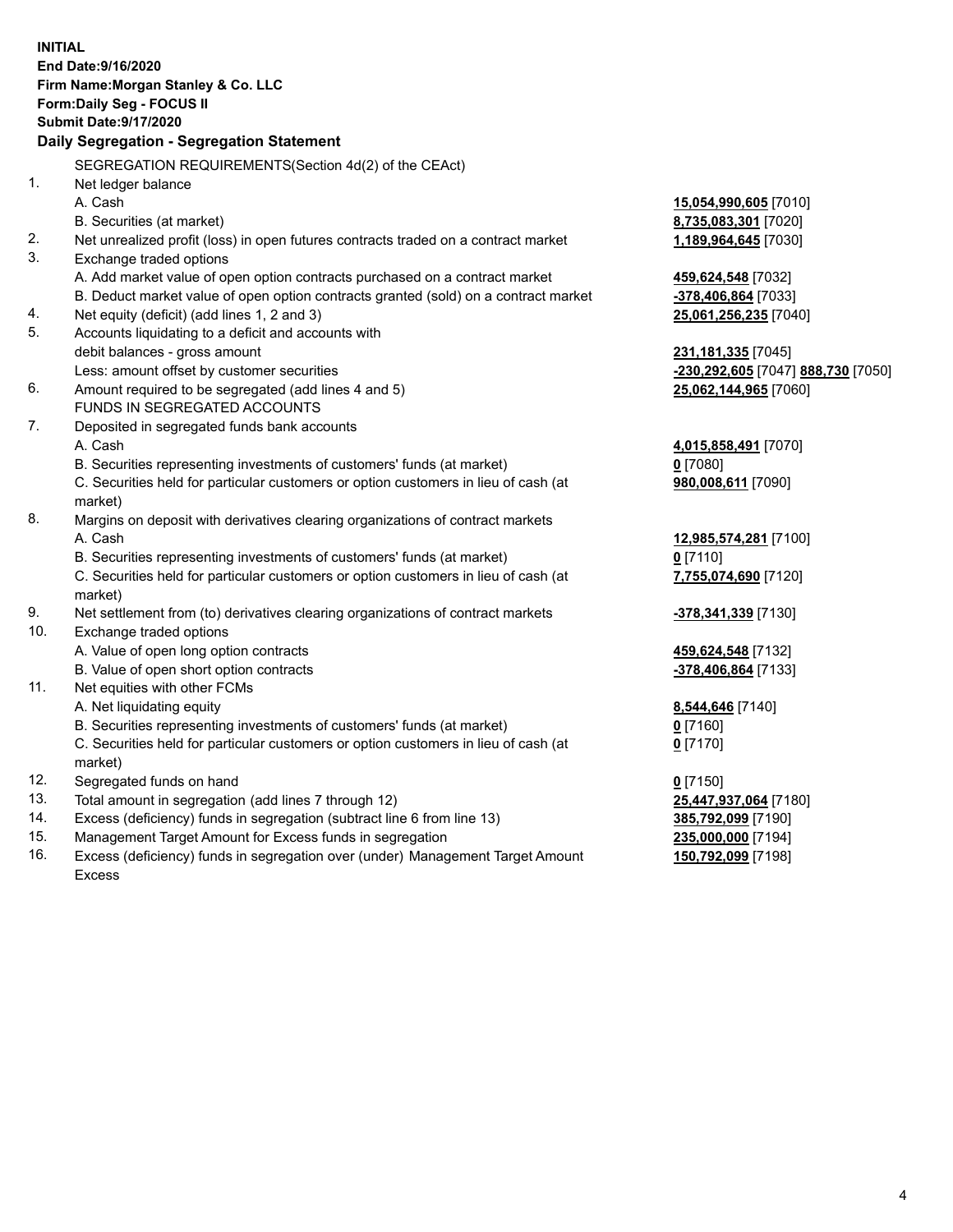|     | <b>INITIAL</b>                                                                                         |                                    |
|-----|--------------------------------------------------------------------------------------------------------|------------------------------------|
|     | End Date: 9/16/2020                                                                                    |                                    |
|     | Firm Name: Morgan Stanley & Co. LLC                                                                    |                                    |
|     | Form: Daily Seg - FOCUS II                                                                             |                                    |
|     | <b>Submit Date: 9/17/2020</b>                                                                          |                                    |
|     | Daily Segregation - Segregation Statement                                                              |                                    |
|     |                                                                                                        |                                    |
| 1.  | SEGREGATION REQUIREMENTS(Section 4d(2) of the CEAct)                                                   |                                    |
|     | Net ledger balance                                                                                     |                                    |
|     | A. Cash                                                                                                | 15,054,990,605 [7010]              |
| 2.  | B. Securities (at market)                                                                              | 8,735,083,301 [7020]               |
| 3.  | Net unrealized profit (loss) in open futures contracts traded on a contract market                     | 1,189,964,645 [7030]               |
|     | Exchange traded options<br>A. Add market value of open option contracts purchased on a contract market |                                    |
|     |                                                                                                        | 459,624,548 [7032]                 |
| 4.  | B. Deduct market value of open option contracts granted (sold) on a contract market                    | -378,406,864 [7033]                |
| 5.  | Net equity (deficit) (add lines 1, 2 and 3)<br>Accounts liquidating to a deficit and accounts with     | 25,061,256,235 [7040]              |
|     | debit balances - gross amount                                                                          | 231, 181, 335 [7045]               |
|     | Less: amount offset by customer securities                                                             | -230,292,605 [7047] 888,730 [7050] |
| 6.  | Amount required to be segregated (add lines 4 and 5)                                                   | 25,062,144,965 [7060]              |
|     | FUNDS IN SEGREGATED ACCOUNTS                                                                           |                                    |
| 7.  | Deposited in segregated funds bank accounts                                                            |                                    |
|     | A. Cash                                                                                                | 4,015,858,491 [7070]               |
|     | B. Securities representing investments of customers' funds (at market)                                 | $0$ [7080]                         |
|     | C. Securities held for particular customers or option customers in lieu of cash (at                    | 980,008,611 [7090]                 |
|     | market)                                                                                                |                                    |
| 8.  | Margins on deposit with derivatives clearing organizations of contract markets                         |                                    |
|     | A. Cash                                                                                                | 12,985,574,281 [7100]              |
|     | B. Securities representing investments of customers' funds (at market)                                 | $0$ [7110]                         |
|     | C. Securities held for particular customers or option customers in lieu of cash (at                    | 7,755,074,690 [7120]               |
|     | market)                                                                                                |                                    |
| 9.  | Net settlement from (to) derivatives clearing organizations of contract markets                        | <u>-378,341,339</u> [7130]         |
| 10. | Exchange traded options                                                                                |                                    |
|     | A. Value of open long option contracts                                                                 | 459,624,548 [7132]                 |
|     | B. Value of open short option contracts                                                                | -378,406,864 [7133]                |
| 11. | Net equities with other FCMs                                                                           |                                    |
|     | A. Net liquidating equity                                                                              | 8,544,646 [7140]                   |
|     | B. Securities representing investments of customers' funds (at market)                                 | $0$ [7160]                         |
|     | C. Securities held for particular customers or option customers in lieu of cash (at                    | $0$ [7170]                         |
|     | market)                                                                                                |                                    |
| 12. | Segregated funds on hand                                                                               | $0$ [7150]                         |
| 13. | Total amount in segregation (add lines 7 through 12)                                                   | 25,447,937,064 [7180]              |
| 14. | Excess (deficiency) funds in segregation (subtract line 6 from line 13)                                | 385,792,099 [7190]                 |
| 15. | Management Target Amount for Excess funds in segregation                                               | 235,000,000 [7194]                 |
| 16. | Excess (deficiency) funds in segregation over (under) Management Target Amount                         | 150,792,099 [7198]                 |

Excess